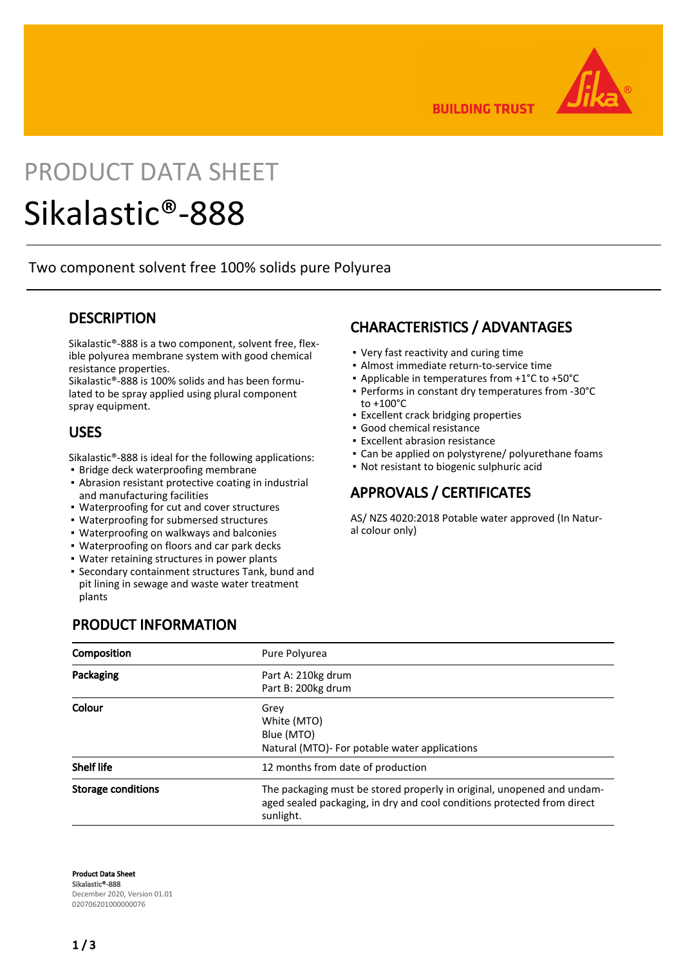

**BUILDING TRUST** 

## PRODUCT DATA SHEET

# Sikalastic®-888

Two component solvent free 100% solids pure Polyurea

#### **DESCRIPTION**

Sikalastic®-888 is a two component, solvent free, flexible polyurea membrane system with good chemical resistance properties.

Sikalastic®-888 is 100% solids and has been formulated to be spray applied using plural component spray equipment.

#### USES

Sikalastic®-888 is ideal for the following applications:

- **· Bridge deck waterproofing membrane**
- **-** Abrasion resistant protective coating in industrial and manufacturing facilities
- Waterproofing for cut and cover structures
- Waterproofing for submersed structures
- Waterproofing on walkways and balconies
- Waterproofing on floors and car park decks
- Water retaining structures in power plants
- **Secondary containment structures Tank, bund and** pit lining in sewage and waste water treatment plants

## CHARACTERISTICS / ADVANTAGES

- Very fast reactivity and curing time
- Almost immediate return-to-service time
- Applicable in temperatures from +1°C to +50°C
- Performs in constant dry temperatures from -30°C to +100°C
- **Excellent crack bridging properties**
- Good chemical resistance
- **Excellent abrasion resistance**
- Can be applied on polystyrene/ polyurethane foams
- Not resistant to biogenic sulphuric acid

#### APPROVALS / CERTIFICATES

AS/ NZS 4020:2018 Potable water approved (In Natural colour only)

#### PRODUCT INFORMATION

| Composition               | Pure Polyurea                                                                                                                                                  |
|---------------------------|----------------------------------------------------------------------------------------------------------------------------------------------------------------|
| Packaging                 | Part A: 210kg drum<br>Part B: 200kg drum                                                                                                                       |
| Colour                    | Grey<br>White (MTO)<br>Blue (MTO)<br>Natural (MTO)- For potable water applications                                                                             |
| <b>Shelf life</b>         | 12 months from date of production                                                                                                                              |
| <b>Storage conditions</b> | The packaging must be stored properly in original, unopened and undam-<br>aged sealed packaging, in dry and cool conditions protected from direct<br>sunlight. |

Product Data Sheet Sikalastic®-888 December 2020, Version 01.01 020706201000000076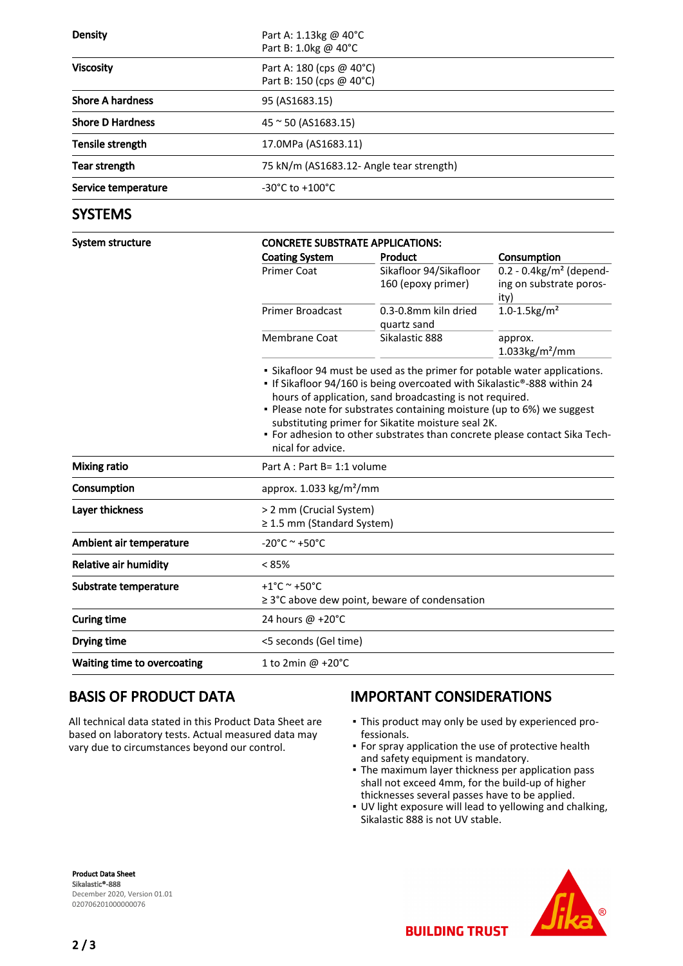| <b>Density</b>          | Part A: 1.13kg @ 40°C<br>Part B: 1.0kg @ 40°C        |  |  |
|-------------------------|------------------------------------------------------|--|--|
| <b>Viscosity</b>        | Part A: 180 (cps @ 40°C)<br>Part B: 150 (cps @ 40°C) |  |  |
| <b>Shore A hardness</b> | 95 (AS1683.15)                                       |  |  |
| <b>Shore D Hardness</b> | $45 \approx 50$ (AS1683.15)                          |  |  |
| Tensile strength        | 17.0MPa (AS1683.11)                                  |  |  |
| Tear strength           | 75 kN/m (AS1683.12- Angle tear strength)             |  |  |
| Service temperature     | $-30^{\circ}$ C to $+100^{\circ}$ C                  |  |  |

#### **SYSTEMS**

| System structure             | <b>CONCRETE SUBSTRATE APPLICATIONS:</b>                                                                                                                                                                                                                                                                                                                                                                                                              |                                     |                                                  |  |  |
|------------------------------|------------------------------------------------------------------------------------------------------------------------------------------------------------------------------------------------------------------------------------------------------------------------------------------------------------------------------------------------------------------------------------------------------------------------------------------------------|-------------------------------------|--------------------------------------------------|--|--|
|                              | <b>Coating System</b>                                                                                                                                                                                                                                                                                                                                                                                                                                | Product                             | Consumption                                      |  |  |
|                              | <b>Primer Coat</b>                                                                                                                                                                                                                                                                                                                                                                                                                                   | Sikafloor 94/Sikafloor              | $\overline{0.2}$ - 0.4kg/m <sup>2</sup> (depend- |  |  |
|                              |                                                                                                                                                                                                                                                                                                                                                                                                                                                      | 160 (epoxy primer)                  | ing on substrate poros-                          |  |  |
|                              |                                                                                                                                                                                                                                                                                                                                                                                                                                                      |                                     | ity)                                             |  |  |
|                              | <b>Primer Broadcast</b>                                                                                                                                                                                                                                                                                                                                                                                                                              | 0.3-0.8mm kiln dried<br>quartz sand | $1.0 - 1.5$ kg/m <sup>2</sup>                    |  |  |
|                              | Membrane Coat                                                                                                                                                                                                                                                                                                                                                                                                                                        | Sikalastic 888                      | approx.<br>$1.033$ kg/m <sup>2</sup> /mm         |  |  |
|                              | • Sikafloor 94 must be used as the primer for potable water applications.<br>• If Sikafloor 94/160 is being overcoated with Sikalastic®-888 within 24<br>hours of application, sand broadcasting is not required.<br>. Please note for substrates containing moisture (up to 6%) we suggest<br>substituting primer for Sikatite moisture seal 2K.<br>• For adhesion to other substrates than concrete please contact Sika Tech-<br>nical for advice. |                                     |                                                  |  |  |
| <b>Mixing ratio</b>          | Part A : Part B= 1:1 volume                                                                                                                                                                                                                                                                                                                                                                                                                          |                                     |                                                  |  |  |
| Consumption                  | approx. $1.033$ kg/m <sup>2</sup> /mm                                                                                                                                                                                                                                                                                                                                                                                                                |                                     |                                                  |  |  |
| Layer thickness              | > 2 mm (Crucial System)<br>≥ 1.5 mm (Standard System)                                                                                                                                                                                                                                                                                                                                                                                                |                                     |                                                  |  |  |
| Ambient air temperature      | $-20^{\circ}$ C ~ +50 $^{\circ}$ C                                                                                                                                                                                                                                                                                                                                                                                                                   |                                     |                                                  |  |  |
| <b>Relative air humidity</b> | $< 85\%$                                                                                                                                                                                                                                                                                                                                                                                                                                             |                                     |                                                  |  |  |
| Substrate temperature        | +1°C ~ +50°C                                                                                                                                                                                                                                                                                                                                                                                                                                         |                                     |                                                  |  |  |
|                              | $\geq$ 3°C above dew point, beware of condensation                                                                                                                                                                                                                                                                                                                                                                                                   |                                     |                                                  |  |  |
| <b>Curing time</b>           | 24 hours @ +20°C                                                                                                                                                                                                                                                                                                                                                                                                                                     |                                     |                                                  |  |  |
| Drying time                  | <5 seconds (Gel time)                                                                                                                                                                                                                                                                                                                                                                                                                                |                                     |                                                  |  |  |
| Waiting time to overcoating  | 1 to 2min @ +20°C                                                                                                                                                                                                                                                                                                                                                                                                                                    |                                     |                                                  |  |  |

## BASIS OF PRODUCT DATA

All technical data stated in this Product Data Sheet are based on laboratory tests. Actual measured data may vary due to circumstances beyond our control.

## IMPORTANT CONSIDERATIONS

- This product may only be used by experienced pro-▪ fessionals.
- **For spray application the use of protective health** and safety equipment is mandatory.
- The maximum layer thickness per application pass shall not exceed 4mm, for the build-up of higher thicknesses several passes have to be applied.
- UV light exposure will lead to yellowing and chalking, Sikalastic 888 is not UV stable.

**BUILDING TRUST** 

Product Data Sheet Sikalastic®-888 December 2020, Version 01.01 020706201000000076